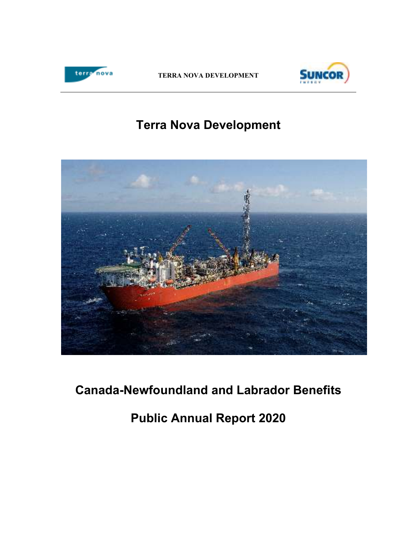

**TERRA NOVA DEVELOPMENT** 



# **Terra Nova Development**



# **Canada-Newfoundland and Labrador Benefits**

**Public Annual Report 2020**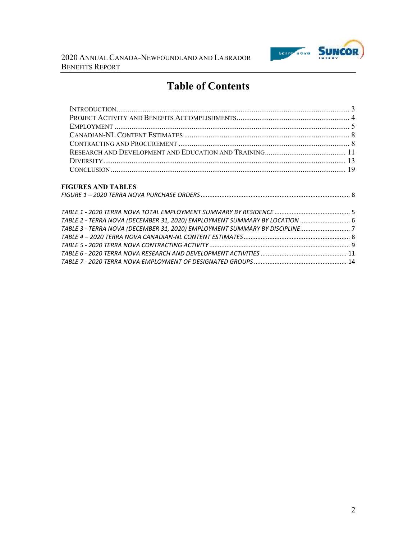

# **Table of Contents**

| <b>FIGURES AND TABLES</b> |  |
|---------------------------|--|
|                           |  |

| TABLE 2 - TERRA NOVA (DECEMBER 31, 2020) EMPLOYMENT SUMMARY BY LOCATION  6  |  |
|-----------------------------------------------------------------------------|--|
| TABLE 3 - TERRA NOVA (DECEMBER 31, 2020) EMPLOYMENT SUMMARY BY DISCIPLINE 7 |  |
|                                                                             |  |
|                                                                             |  |
|                                                                             |  |
|                                                                             |  |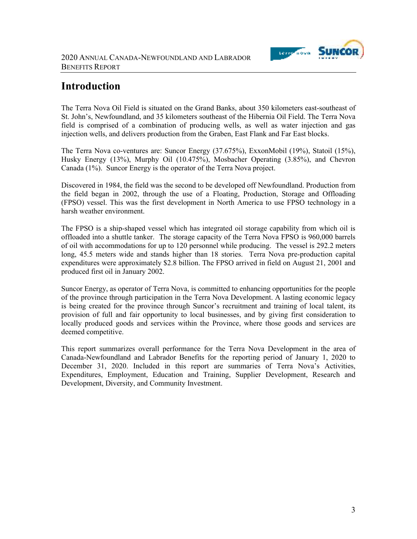

## **Introduction**

The Terra Nova Oil Field is situated on the Grand Banks, about 350 kilometers east-southeast of St. John's, Newfoundland, and 35 kilometers southeast of the Hibernia Oil Field. The Terra Nova field is comprised of a combination of producing wells, as well as water injection and gas injection wells, and delivers production from the Graben, East Flank and Far East blocks.

The Terra Nova co-ventures are: Suncor Energy (37.675%), ExxonMobil (19%), Statoil (15%), Husky Energy (13%), Murphy Oil (10.475%), Mosbacher Operating (3.85%), and Chevron Canada (1%). Suncor Energy is the operator of the Terra Nova project.

Discovered in 1984, the field was the second to be developed off Newfoundland. Production from the field began in 2002, through the use of a Floating, Production, Storage and Offloading (FPSO) vessel. This was the first development in North America to use FPSO technology in a harsh weather environment.

The FPSO is a ship-shaped vessel which has integrated oil storage capability from which oil is offloaded into a shuttle tanker. The storage capacity of the Terra Nova FPSO is 960,000 barrels of oil with accommodations for up to 120 personnel while producing. The vessel is 292.2 meters long, 45.5 meters wide and stands higher than 18 stories. Terra Nova pre-production capital expenditures were approximately \$2.8 billion. The FPSO arrived in field on August 21, 2001 and produced first oil in January 2002.

Suncor Energy, as operator of Terra Nova, is committed to enhancing opportunities for the people of the province through participation in the Terra Nova Development. A lasting economic legacy is being created for the province through Suncor's recruitment and training of local talent, its provision of full and fair opportunity to local businesses, and by giving first consideration to locally produced goods and services within the Province, where those goods and services are deemed competitive.

This report summarizes overall performance for the Terra Nova Development in the area of Canada-Newfoundland and Labrador Benefits for the reporting period of January 1, 2020 to December 31, 2020. Included in this report are summaries of Terra Nova's Activities, Expenditures, Employment, Education and Training, Supplier Development, Research and Development, Diversity, and Community Investment.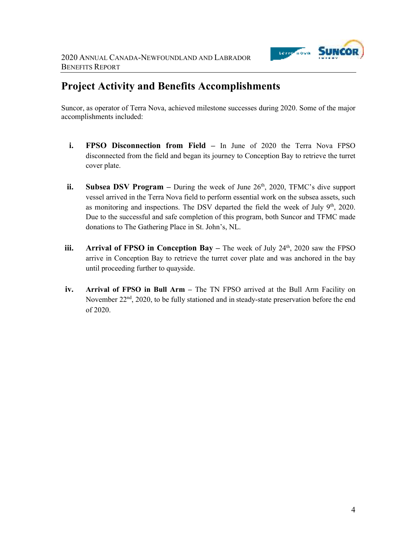

# **Project Activity and Benefits Accomplishments**

Suncor, as operator of Terra Nova, achieved milestone successes during 2020. Some of the major accomplishments included:

- **i. FPSO Disconnection from Field** In June of 2020 the Terra Nova FPSO disconnected from the field and began its journey to Conception Bay to retrieve the turret cover plate.
- **ii.** Subsea DSV Program During the week of June 26<sup>th</sup>, 2020, TFMC's dive support vessel arrived in the Terra Nova field to perform essential work on the subsea assets, such as monitoring and inspections. The DSV departed the field the week of July  $9<sup>th</sup>$ , 2020. Due to the successful and safe completion of this program, both Suncor and TFMC made donations to The Gathering Place in St. John's, NL.
- **iii. Arrival of FPSO in Conception Bay** The week of July 24<sup>th</sup>, 2020 saw the FPSO arrive in Conception Bay to retrieve the turret cover plate and was anchored in the bay until proceeding further to quayside.
- **iv. Arrival of FPSO in Bull Arm** The TN FPSO arrived at the Bull Arm Facility on November 22<sup>nd</sup>, 2020, to be fully stationed and in steady-state preservation before the end of 2020.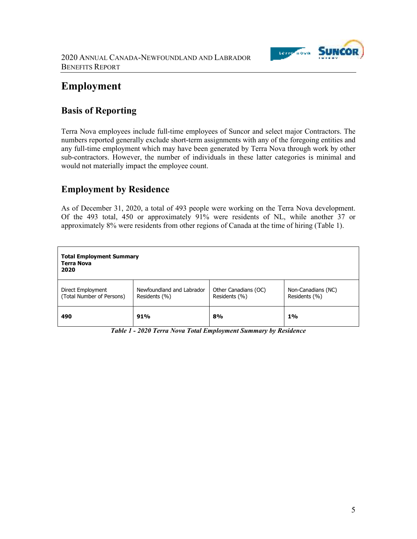

# **Employment**

## **Basis of Reporting**

Terra Nova employees include full-time employees of Suncor and select major Contractors. The numbers reported generally exclude short-term assignments with any of the foregoing entities and any full-time employment which may have been generated by Terra Nova through work by other sub-contractors. However, the number of individuals in these latter categories is minimal and would not materially impact the employee count.

## **Employment by Residence**

As of December 31, 2020, a total of 493 people were working on the Terra Nova development. Of the 493 total, 450 or approximately 91% were residents of NL, while another 37 or approximately 8% were residents from other regions of Canada at the time of hiring (Table 1).

| <b>Total Employment Summary</b><br><b>Terra Nova</b><br>2020 |                                            |                                       |                                     |  |  |
|--------------------------------------------------------------|--------------------------------------------|---------------------------------------|-------------------------------------|--|--|
| Direct Employment<br>(Total Number of Persons)               | Newfoundland and Labrador<br>Residents (%) | Other Canadians (OC)<br>Residents (%) | Non-Canadians (NC)<br>Residents (%) |  |  |
| 490                                                          | 91%                                        | 8%                                    | 1%                                  |  |  |

*Table 1 - 2020 Terra Nova Total Employment Summary by Residence*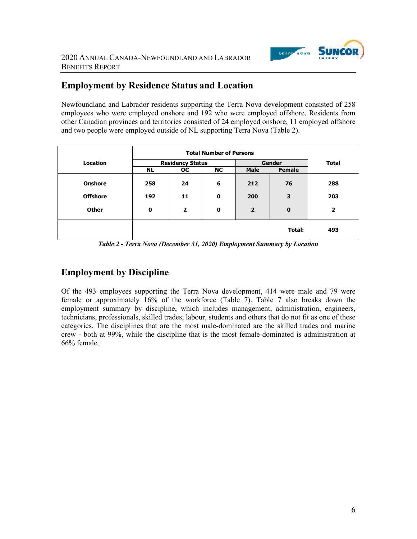

## **Employment by Residence Status and Location**

Newfoundland and Labrador residents supporting the Terra Nova development consisted of 258 employees who were employed onshore and 192 who were employed offshore. Residents from other Canadian provinces and territories consisted of 24 employed onshore, 11 employed offshore and two people were employed outside of NL supporting Terra Nova (Table 2).

|                 | <b>Total Number of Persons</b> |                         |             |                |             |                         |
|-----------------|--------------------------------|-------------------------|-------------|----------------|-------------|-------------------------|
| <b>Location</b> |                                | <b>Residency Status</b> |             |                | Gender      | <b>Total</b>            |
|                 | <b>NL</b>                      | <b>OC</b>               | <b>NC</b>   | <b>Male</b>    | Female      |                         |
| <b>Onshore</b>  | 258                            | 24                      | 6           | 212            | 76          | 288                     |
| <b>Offshore</b> | 192                            | 11                      | $\mathbf 0$ | 200            | 3           | 203                     |
| <b>Other</b>    | $\mathbf 0$                    | $\overline{2}$          | $\mathbf 0$ | $\overline{2}$ | $\mathbf 0$ | $\overline{\mathbf{2}}$ |
|                 |                                |                         |             |                | Total:      | 493                     |

*Table 2 - Terra Nova (December 31, 2020) Employment Summary by Location*

## **Employment by Discipline**

Of the 493 employees supporting the Terra Nova development, 414 were male and 79 were female or approximately 16% of the workforce (Table 7). Table 7 also breaks down the employment summary by discipline, which includes management, administration, engineers, technicians, professionals, skilled trades, labour, students and others that do not fit as one of these categories. The disciplines that are the most male-dominated are the skilled trades and marine crew - both at 99%, while the discipline that is the most female-dominated is administration at 66% female.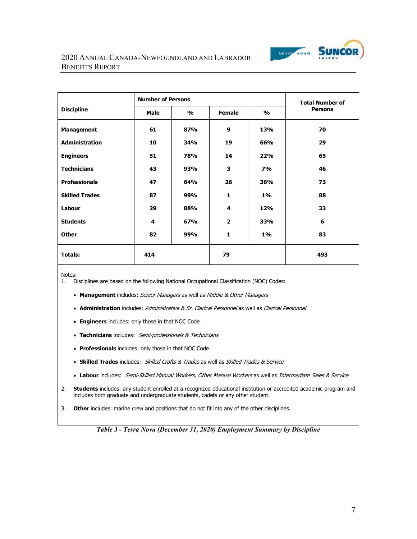

#### 2020 ANNUAL CANADA-NEWFOUNDLAND AND LABRADOR BENEFITS REPORT

|                       | <b>Number of Persons</b> |                                |                |               | <b>Total Number of</b> |  |
|-----------------------|--------------------------|--------------------------------|----------------|---------------|------------------------|--|
| <b>Discipline</b>     | <b>Male</b>              | $\frac{1}{2}$<br><b>Female</b> |                | $\frac{1}{2}$ | <b>Persons</b>         |  |
| <b>Management</b>     | 61                       | 87%                            | 9              | 13%           | 70                     |  |
| <b>Administration</b> | 10                       | 34%                            | 19             | 66%           | 29                     |  |
| <b>Engineers</b>      | 51                       | 78%                            | 14             | 22%           | 65                     |  |
| <b>Technicians</b>    | 43                       | 93%                            | 3              | <b>7%</b>     | 46                     |  |
| <b>Professionals</b>  | 47                       | 64%                            | 26             | 36%           | 73                     |  |
| <b>Skilled Trades</b> | 87                       | 99%                            | $\mathbf{1}$   | $1\%$         | 88                     |  |
| Labour                | 29                       | 88%                            | 4              | <b>12%</b>    | 33                     |  |
| <b>Students</b>       | 4                        | 67%                            | $\overline{2}$ | 33%           | 6                      |  |
| <b>Other</b>          | 82                       | 99%                            | $\mathbf{1}$   | $1\%$         | 83                     |  |
| <b>Totals:</b>        | 414                      |                                | 79             |               | 493                    |  |

Notes:

1. Disciplines are based on the following National Occupational Classification (NOC) Codes:

- **Management** includes: Senior Managers as well as Middle & Other Managers
- Administration includes: Administrative & Sr. Clerical Personnel as well as Clerical Personnel
- **Engineers** includes: only those in that NOC Code
- **Technicians** includes: Semi-professionals & Technicians
- **Professionals** includes: only those in that NOC Code
- **Skilled Trades** includes: Skilled Crafts & Trades as well as Skilled Trades & Service
- **Labour** includes: Semi-Skilled Manual Workers, Other Manual Workers as well as Intermediate Sales & Service
- 2. **Students** includes: any student enrolled at a recognized educational institution or accredited academic program and includes both graduate and undergraduate students, cadets or any other student.
- 3. **Other** includes: marine crew and positions that do not fit into any of the other disciplines.

*Table 3 - Terra Nova (December 31, 2020) Employment Summary by Discipline*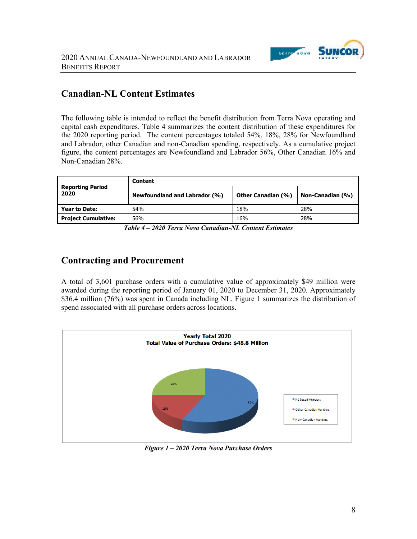

### **Canadian-NL Content Estimates**

The following table is intended to reflect the benefit distribution from Terra Nova operating and capital cash expenditures. Table 4 summarizes the content distribution of these expenditures for the 2020 reporting period. The content percentages totaled 54%, 18%, 28% for Newfoundland and Labrador, other Canadian and non-Canadian spending, respectively. As a cumulative project figure, the content percentages are Newfoundland and Labrador 56%, Other Canadian 16% and Non-Canadian 28%.

|                                 | Content                              |                           |                  |  |  |
|---------------------------------|--------------------------------------|---------------------------|------------------|--|--|
| <b>Reporting Period</b><br>2020 | <b>Newfoundland and Labrador (%)</b> | <b>Other Canadian (%)</b> | Non-Canadian (%) |  |  |
| Year to Date:                   | 54%                                  | 18%                       | 28%              |  |  |
| <b>Project Cumulative:</b>      | 56%                                  | 16%                       | 28%              |  |  |

*Table 4 – 2020 Terra Nova Canadian-NL Content Estimates* 

### **Contracting and Procurement**

A total of 3,601 purchase orders with a cumulative value of approximately \$49 million were awarded during the reporting period of January 01, 2020 to December 31, 2020. Approximately \$36.4 million (76%) was spent in Canada including NL. Figure 1 summarizes the distribution of spend associated with all purchase orders across locations.



*Figure 1 – 2020 Terra Nova Purchase Orders*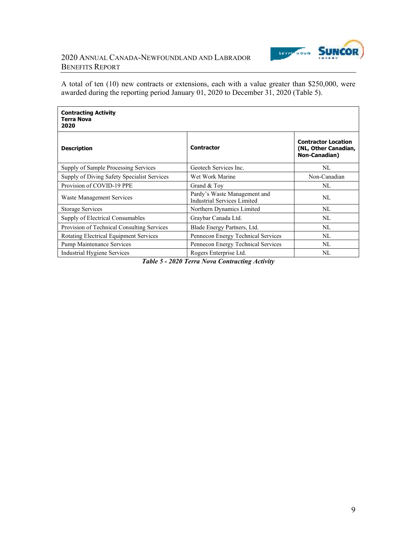

#### 2020 ANNUAL CANADA-NEWFOUNDLAND AND LABRADOR BENEFITS REPORT

A total of ten (10) new contracts or extensions, each with a value greater than \$250,000, were awarded during the reporting period January 01, 2020 to December 31, 2020 (Table 5).

| <b>Contracting Activity</b><br><b>Terra Nova</b><br>2020            |                                                                    |                                                                            |
|---------------------------------------------------------------------|--------------------------------------------------------------------|----------------------------------------------------------------------------|
| <b>Description</b>                                                  | <b>Contractor</b>                                                  | <b>Contractor Location</b><br>(NL, Other Canadian,<br><b>Non-Canadian)</b> |
| Supply of Sample Processing Services                                | Geotech Services Inc.                                              | NL                                                                         |
| Supply of Diving Safety Specialist Services                         | Wet Work Marine                                                    | Non-Canadian                                                               |
| Provision of COVID-19 PPE                                           | Grand & Toy                                                        | NL                                                                         |
| Waste Management Services                                           | Pardy's Waste Management and<br><b>Industrial Services Limited</b> | NL                                                                         |
| <b>Storage Services</b>                                             | Northern Dynamics Limited                                          | NL                                                                         |
| Supply of Electrical Consumables                                    | Graybar Canada Ltd.                                                | NL                                                                         |
| Provision of Technical Consulting Services                          | Blade Energy Partners, Ltd.                                        | NL                                                                         |
| Rotating Electrical Equipment Services                              | Pennecon Energy Technical Services                                 | NL                                                                         |
| <b>Pump Maintenance Services</b>                                    | Pennecon Energy Technical Services                                 | NL                                                                         |
| Industrial Hygiene Services<br>$T \times T$ $\rightarrow$ 0.000 $T$ | Rogers Enterprise Ltd.                                             | NL                                                                         |

*Table 5 - 2020 Terra Nova Contracting Activity*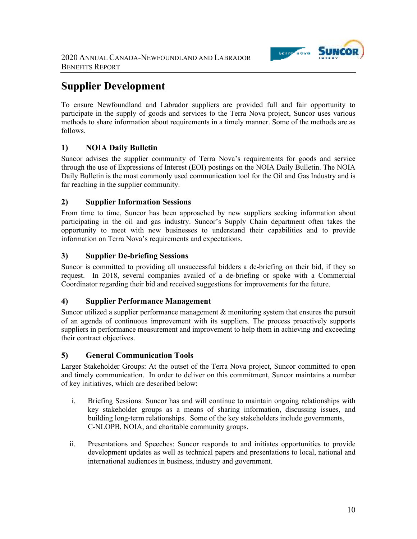

# **Supplier Development**

To ensure Newfoundland and Labrador suppliers are provided full and fair opportunity to participate in the supply of goods and services to the Terra Nova project, Suncor uses various methods to share information about requirements in a timely manner. Some of the methods are as follows.

### **1) NOIA Daily Bulletin**

Suncor advises the supplier community of Terra Nova's requirements for goods and service through the use of Expressions of Interest (EOI) postings on the NOIA Daily Bulletin. The NOIA Daily Bulletin is the most commonly used communication tool for the Oil and Gas Industry and is far reaching in the supplier community.

#### **2) Supplier Information Sessions**

From time to time, Suncor has been approached by new suppliers seeking information about participating in the oil and gas industry. Suncor's Supply Chain department often takes the opportunity to meet with new businesses to understand their capabilities and to provide information on Terra Nova's requirements and expectations.

#### **3) Supplier De-briefing Sessions**

Suncor is committed to providing all unsuccessful bidders a de-briefing on their bid, if they so request. In 2018, several companies availed of a de-briefing or spoke with a Commercial Coordinator regarding their bid and received suggestions for improvements for the future.

#### **4) Supplier Performance Management**

Suncor utilized a supplier performance management & monitoring system that ensures the pursuit of an agenda of continuous improvement with its suppliers. The process proactively supports suppliers in performance measurement and improvement to help them in achieving and exceeding their contract objectives.

#### **5) General Communication Tools**

Larger Stakeholder Groups: At the outset of the Terra Nova project, Suncor committed to open and timely communication. In order to deliver on this commitment, Suncor maintains a number of key initiatives, which are described below:

- i. Briefing Sessions: Suncor has and will continue to maintain ongoing relationships with key stakeholder groups as a means of sharing information, discussing issues, and building long-term relationships. Some of the key stakeholders include governments, C-NLOPB, NOIA, and charitable community groups.
- ii. Presentations and Speeches: Suncor responds to and initiates opportunities to provide development updates as well as technical papers and presentations to local, national and international audiences in business, industry and government.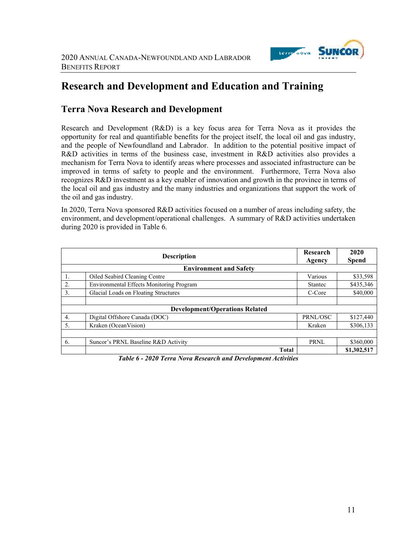

## **Research and Development and Education and Training**

### **Terra Nova Research and Development**

Research and Development (R&D) is a key focus area for Terra Nova as it provides the opportunity for real and quantifiable benefits for the project itself, the local oil and gas industry, and the people of Newfoundland and Labrador. In addition to the potential positive impact of R&D activities in terms of the business case, investment in R&D activities also provides a mechanism for Terra Nova to identify areas where processes and associated infrastructure can be improved in terms of safety to people and the environment. Furthermore, Terra Nova also recognizes R&D investment as a key enabler of innovation and growth in the province in terms of the local oil and gas industry and the many industries and organizations that support the work of the oil and gas industry.

In 2020, Terra Nova sponsored R&D activities focused on a number of areas including safety, the environment, and development/operational challenges. A summary of R&D activities undertaken during 2020 is provided in Table 6.

|                                                             | <b>Description</b>                              | Research<br>Agency | 2020<br><b>Spend</b> |  |  |
|-------------------------------------------------------------|-------------------------------------------------|--------------------|----------------------|--|--|
|                                                             | <b>Environment and Safety</b>                   |                    |                      |  |  |
|                                                             | Oiled Seabird Cleaning Centre                   | Various            | \$33,598             |  |  |
| 2.                                                          | <b>Environmental Effects Monitoring Program</b> | Stantec            | \$435,346            |  |  |
| 3.                                                          | Glacial Loads on Floating Structures            | C-Core             | \$40,000             |  |  |
|                                                             |                                                 |                    |                      |  |  |
|                                                             | <b>Development/Operations Related</b>           |                    |                      |  |  |
| 4.                                                          | Digital Offshore Canada (DOC)                   | PRNL/OSC           | \$127,440            |  |  |
| 5.                                                          | Kraken (OceanVision)                            | Kraken             | \$306,133            |  |  |
|                                                             |                                                 |                    |                      |  |  |
| 6.                                                          | Suncor's PRNL Baseline R&D Activity             | <b>PRNL</b>        | \$360,000            |  |  |
|                                                             | <b>Total</b>                                    |                    | \$1,302,517          |  |  |
| Table 6, 2020 Towe Nova Descarch and Dovelopment Activities |                                                 |                    |                      |  |  |

*Table 6 - 2020 Terra Nova Research and Development Activities*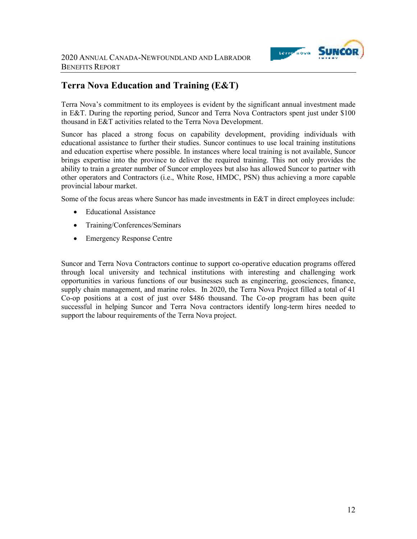

## **Terra Nova Education and Training (E&T)**

Terra Nova's commitment to its employees is evident by the significant annual investment made in E&T. During the reporting period, Suncor and Terra Nova Contractors spent just under \$100 thousand in E&T activities related to the Terra Nova Development.

Suncor has placed a strong focus on capability development, providing individuals with educational assistance to further their studies. Suncor continues to use local training institutions and education expertise where possible. In instances where local training is not available, Suncor brings expertise into the province to deliver the required training. This not only provides the ability to train a greater number of Suncor employees but also has allowed Suncor to partner with other operators and Contractors (i.e., White Rose, HMDC, PSN) thus achieving a more capable provincial labour market.

Some of the focus areas where Suncor has made investments in E&T in direct employees include:

- Educational Assistance
- Training/Conferences/Seminars
- Emergency Response Centre

Suncor and Terra Nova Contractors continue to support co-operative education programs offered through local university and technical institutions with interesting and challenging work opportunities in various functions of our businesses such as engineering, geosciences, finance, supply chain management, and marine roles. In 2020, the Terra Nova Project filled a total of 41 Co-op positions at a cost of just over \$486 thousand. The Co-op program has been quite successful in helping Suncor and Terra Nova contractors identify long-term hires needed to support the labour requirements of the Terra Nova project.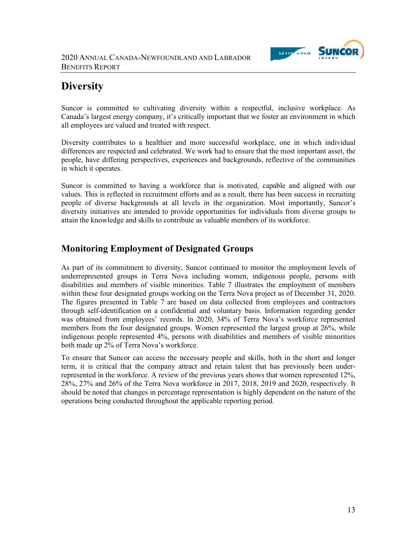

# **Diversity**

Suncor is committed to cultivating diversity within a respectful, inclusive workplace. As Canada's largest energy company, it's critically important that we foster an environment in which all employees are valued and treated with respect.

Diversity contributes to a healthier and more successful workplace, one in which individual differences are respected and celebrated. We work had to ensure that the most important asset, the people, have differing perspectives, experiences and backgrounds, reflective of the communities in which it operates.

Suncor is committed to having a workforce that is motivated, capable and aligned with our values. This is reflected in recruitment efforts and as a result, there has been success in recruiting people of diverse backgrounds at all levels in the organization. Most importantly, Suncor's diversity initiatives are intended to provide opportunities for individuals from diverse groups to attain the knowledge and skills to contribute as valuable members of its workforce.

## **Monitoring Employment of Designated Groups**

As part of its commitment to diversity, Suncor continued to monitor the employment levels of underrepresented groups in Terra Nova including women, indigenous people, persons with disabilities and members of visible minorities. Table 7 illustrates the employment of members within these four designated groups working on the Terra Nova project as of December 31, 2020. The figures presented in Table 7 are based on data collected from employees and contractors through self-identification on a confidential and voluntary basis. Information regarding gender was obtained from employees' records. In 2020, 34% of Terra Nova's workforce represented members from the four designated groups. Women represented the largest group at 26%, while indigenous people represented 4%, persons with disabilities and members of visible minorities both made up 2% of Terra Nova's workforce.

To ensure that Suncor can access the necessary people and skills, both in the short and longer term, it is critical that the company attract and retain talent that has previously been underrepresented in the workforce. A review of the previous years shows that women represented 12%, 28%, 27% and 26% of the Terra Nova workforce in 2017, 2018, 2019 and 2020, respectively. It should be noted that changes in percentage representation is highly dependent on the nature of the operations being conducted throughout the applicable reporting period.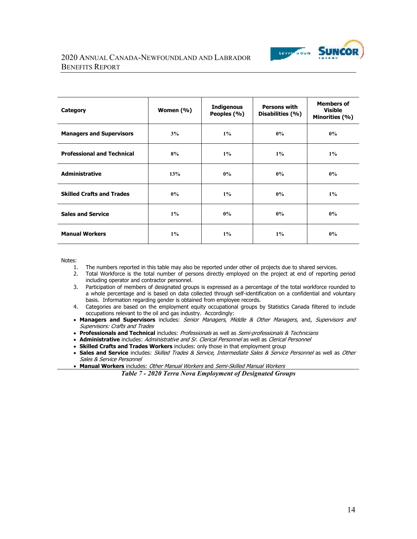

#### 2020 ANNUAL CANADA-NEWFOUNDLAND AND LABRADOR BENEFITS REPORT

| Category                          | Women (%) | <b>Indigenous</b><br>Peoples (%) | <b>Persons with</b><br>Disabilities (%) | <b>Members of</b><br><b>Visible</b><br>Minorities (%) |
|-----------------------------------|-----------|----------------------------------|-----------------------------------------|-------------------------------------------------------|
| <b>Managers and Supervisors</b>   | 3%        | $1\%$                            | $0\%$                                   | $0\%$                                                 |
| <b>Professional and Technical</b> | 8%        | $1\%$                            | $1\%$                                   | $1\%$                                                 |
| <b>Administrative</b>             | 13%       | $0\%$                            | $0\%$                                   | $0\%$                                                 |
| <b>Skilled Crafts and Trades</b>  | $0\%$     | $1\%$                            | $0\%$                                   | $1\%$                                                 |
| <b>Sales and Service</b>          | $1\%$     | $0\%$                            | $0\%$                                   | $0\%$                                                 |
| <b>Manual Workers</b>             | $1\%$     | $1\%$                            | $1\%$                                   | $0\%$                                                 |

Notes:

- 1. The numbers reported in this table may also be reported under other oil projects due to shared services.
- 2. Total Workforce is the total number of persons directly employed on the project at end of reporting period including operator and contractor personnel.
- 3. Participation of members of designated groups is expressed as a percentage of the total workforce rounded to a whole percentage and is based on data collected through self-identification on a confidential and voluntary basis. Information regarding gender is obtained from employee records.
- 4. Categories are based on the employment equity occupational groups by Statistics Canada filtered to include occupations relevant to the oil and gas industry. Accordingly:
- **Managers and Supervisors** includes: Senior Managers, Middle & Other Managers, and, Supervisors and Supervisors: Crafts and Trades
- **Professionals and Technical** includes: Professionals as well as Semi-professionals & Technicians
- **Administrative** includes: Administrative and Sr. Clerical Personnel as well as Clerical Personnel
- **Skilled Crafts and Trades Workers** includes: only those in that employment group
- **Sales and Service** includes: Skilled Trades & Service, Intermediate Sales & Service Personnel as well as Other Sales & Service Personnel
- **Manual Workers** includes: Other Manual Workers and Semi-Skilled Manual Workers

*Table 7 - 2020 Terra Nova Employment of Designated Groups*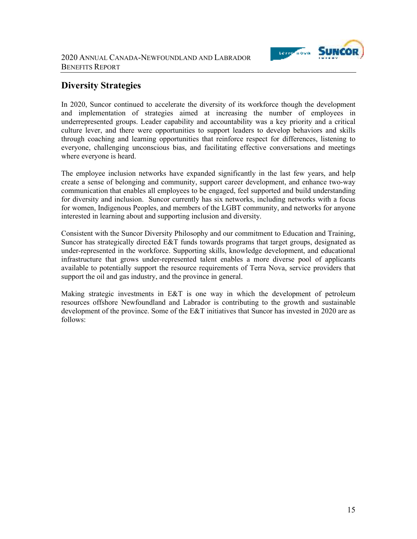

## **Diversity Strategies**

In 2020, Suncor continued to accelerate the diversity of its workforce though the development and implementation of strategies aimed at increasing the number of employees in underrepresented groups. Leader capability and accountability was a key priority and a critical culture lever, and there were opportunities to support leaders to develop behaviors and skills through coaching and learning opportunities that reinforce respect for differences, listening to everyone, challenging unconscious bias, and facilitating effective conversations and meetings where everyone is heard.

The employee inclusion networks have expanded significantly in the last few years, and help create a sense of belonging and community, support career development, and enhance two-way communication that enables all employees to be engaged, feel supported and build understanding for diversity and inclusion. Suncor currently has six networks, including networks with a focus for women, Indigenous Peoples, and members of the LGBT community, and networks for anyone interested in learning about and supporting inclusion and diversity.

Consistent with the Suncor Diversity Philosophy and our commitment to Education and Training, Suncor has strategically directed E&T funds towards programs that target groups, designated as under-represented in the workforce. Supporting skills, knowledge development, and educational infrastructure that grows under-represented talent enables a more diverse pool of applicants available to potentially support the resource requirements of Terra Nova, service providers that support the oil and gas industry, and the province in general.

Making strategic investments in E&T is one way in which the development of petroleum resources offshore Newfoundland and Labrador is contributing to the growth and sustainable development of the province. Some of the E&T initiatives that Suncor has invested in 2020 are as follows: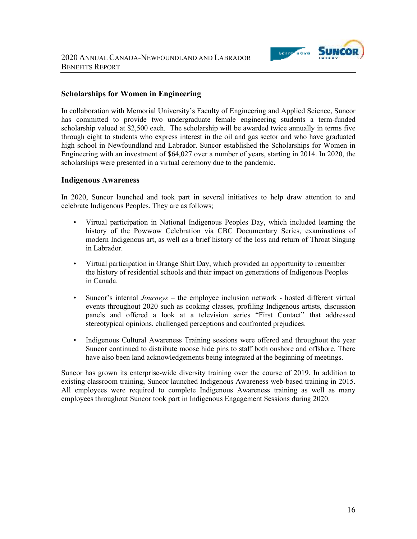

#### **Scholarships for Women in Engineering**

In collaboration with Memorial University's Faculty of Engineering and Applied Science, Suncor has committed to provide two undergraduate female engineering students a term-funded scholarship valued at \$2,500 each. The scholarship will be awarded twice annually in terms five through eight to students who express interest in the oil and gas sector and who have graduated high school in Newfoundland and Labrador. Suncor established the Scholarships for Women in Engineering with an investment of \$64,027 over a number of years, starting in 2014. In 2020, the scholarships were presented in a virtual ceremony due to the pandemic.

#### **Indigenous Awareness**

In 2020, Suncor launched and took part in several initiatives to help draw attention to and celebrate Indigenous Peoples. They are as follows;

- Virtual participation in National Indigenous Peoples Day, which included learning the history of the Powwow Celebration via CBC Documentary Series, examinations of modern Indigenous art, as well as a brief history of the loss and return of Throat Singing in Labrador.
- Virtual participation in Orange Shirt Day, which provided an opportunity to remember the history of residential schools and their impact on generations of Indigenous Peoples in Canada.
- Suncor's internal *Journeys* the employee inclusion network hosted different virtual events throughout 2020 such as cooking classes, profiling Indigenous artists, discussion panels and offered a look at a television series "First Contact" that addressed stereotypical opinions, challenged perceptions and confronted prejudices.
- Indigenous Cultural Awareness Training sessions were offered and throughout the year Suncor continued to distribute moose hide pins to staff both onshore and offshore. There have also been land acknowledgements being integrated at the beginning of meetings.

Suncor has grown its enterprise-wide diversity training over the course of 2019. In addition to existing classroom training, Suncor launched Indigenous Awareness web-based training in 2015. All employees were required to complete Indigenous Awareness training as well as many employees throughout Suncor took part in Indigenous Engagement Sessions during 2020.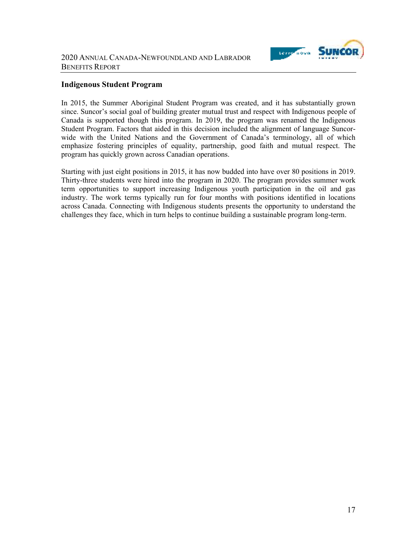

#### **Indigenous Student Program**

In 2015, the Summer Aboriginal Student Program was created, and it has substantially grown since. Suncor's social goal of building greater mutual trust and respect with Indigenous people of Canada is supported though this program. In 2019, the program was renamed the Indigenous Student Program. Factors that aided in this decision included the alignment of language Suncorwide with the United Nations and the Government of Canada's terminology, all of which emphasize fostering principles of equality, partnership, good faith and mutual respect. The program has quickly grown across Canadian operations.

Starting with just eight positions in 2015, it has now budded into have over 80 positions in 2019. Thirty-three students were hired into the program in 2020. The program provides summer work term opportunities to support increasing Indigenous youth participation in the oil and gas industry. The work terms typically run for four months with positions identified in locations across Canada. Connecting with Indigenous students presents the opportunity to understand the challenges they face, which in turn helps to continue building a sustainable program long-term.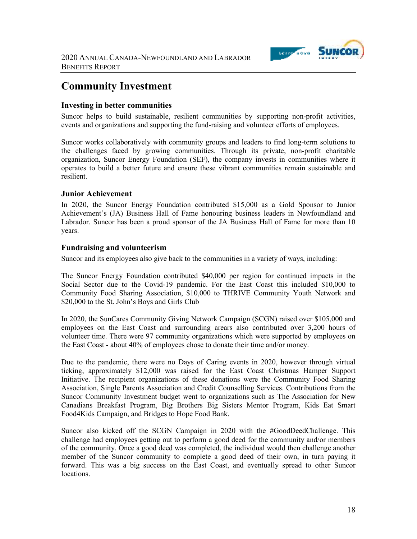

## **Community Investment**

#### **Investing in better communities**

Suncor helps to build sustainable, resilient communities by supporting non-profit activities, events and organizations and supporting the fund-raising and volunteer efforts of employees.

Suncor works collaboratively with community groups and leaders to find long-term solutions to the challenges faced by growing communities. Through its private, non-profit charitable organization, Suncor Energy Foundation (SEF), the company invests in communities where it operates to build a better future and ensure these vibrant communities remain sustainable and resilient.

#### **Junior Achievement**

In 2020, the Suncor Energy Foundation contributed \$15,000 as a Gold Sponsor to Junior Achievement's (JA) Business Hall of Fame honouring business leaders in Newfoundland and Labrador. Suncor has been a proud sponsor of the JA Business Hall of Fame for more than 10 years.

#### **Fundraising and volunteerism**

Suncor and its employees also give back to the communities in a variety of ways, including:

The Suncor Energy Foundation contributed \$40,000 per region for continued impacts in the Social Sector due to the Covid-19 pandemic. For the East Coast this included \$10,000 to Community Food Sharing Association, \$10,000 to THRIVE Community Youth Network and \$20,000 to the St. John's Boys and Girls Club

In 2020, the SunCares Community Giving Network Campaign (SCGN) raised over \$105,000 and employees on the East Coast and surrounding arears also contributed over 3,200 hours of volunteer time. There were 97 community organizations which were supported by employees on the East Coast - about 40% of employees chose to donate their time and/or money.

Due to the pandemic, there were no Days of Caring events in 2020, however through virtual ticking, approximately \$12,000 was raised for the East Coast Christmas Hamper Support Initiative. The recipient organizations of these donations were the Community Food Sharing Association, Single Parents Association and Credit Counselling Services. Contributions from the Suncor Community Investment budget went to organizations such as The Association for New Canadians Breakfast Program, Big Brothers Big Sisters Mentor Program, Kids Eat Smart Food4Kids Campaign, and Bridges to Hope Food Bank.

Suncor also kicked off the SCGN Campaign in 2020 with the #GoodDeedChallenge. This challenge had employees getting out to perform a good deed for the community and/or members of the community. Once a good deed was completed, the individual would then challenge another member of the Suncor community to complete a good deed of their own, in turn paying it forward. This was a big success on the East Coast, and eventually spread to other Suncor locations.